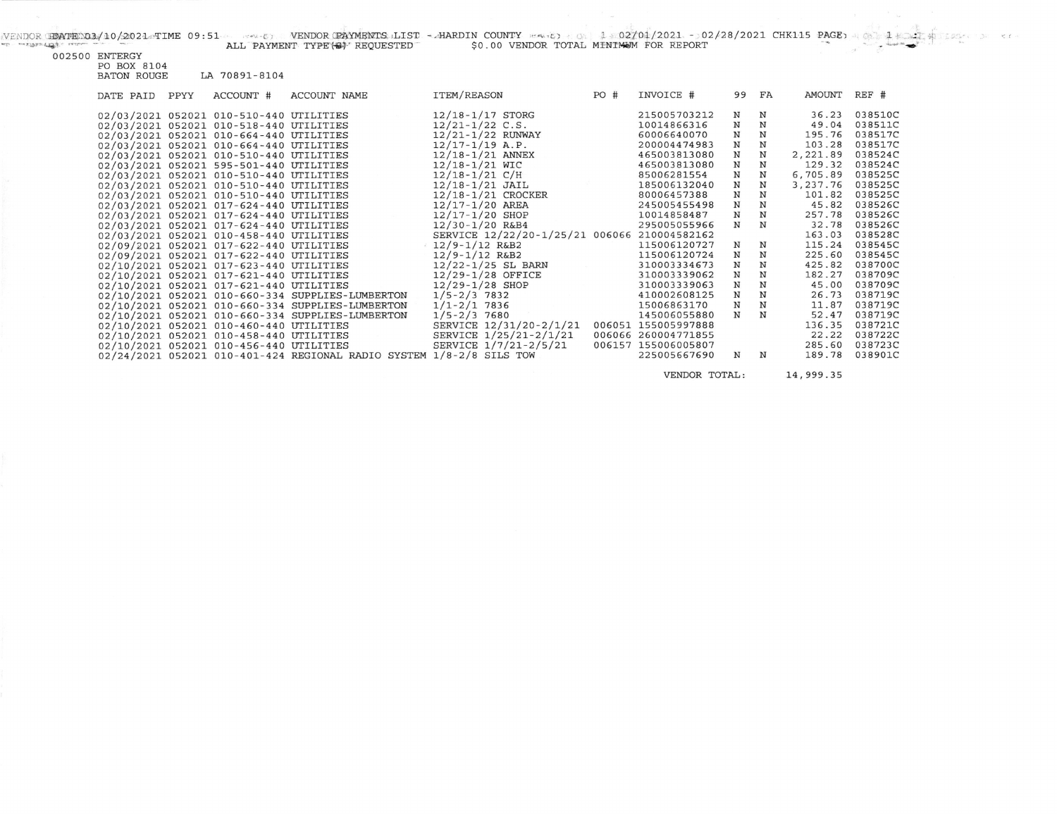| acts and all the Call of Latitudes are a more | ALL PAYMENT TYPE (S) REQUESTED | \$0.00 VENDOR TOTAL MINIMUM FOR REPORT |  |  |
|-----------------------------------------------|--------------------------------|----------------------------------------|--|--|

002500 ENTERGY<br>PO BOX 8104<br>BATON ROUGE LA 70891-8104

| DATE PAID | PPYY | ACCOUNT #                               | ACCOUNT NAME                                                         | ITEM/REASON                                  | PO # | INVOICE #           |              | 99 FA       | AMOUNT REF # |         |
|-----------|------|-----------------------------------------|----------------------------------------------------------------------|----------------------------------------------|------|---------------------|--------------|-------------|--------------|---------|
|           |      | 02/03/2021 052021 010-510-440 UTILITIES |                                                                      | 12/18-1/17 STORG                             |      | 215005703212        | N            | N           | 36.23        | 038510C |
|           |      | 02/03/2021 052021 010-518-440 UTILITIES |                                                                      | $12/21 - 1/22$ C.S.                          |      | 10014866316         | $\mathbf N$  | N           | 49.04        | 038511C |
|           |      | 02/03/2021 052021 010-664-440 UTILITIES |                                                                      | 12/21-1/22 RUNWAY                            |      | 60006640070         | N            | N           | 195.76       | 038517C |
|           |      | 02/03/2021 052021 010-664-440 UTILITIES |                                                                      | $12/17 - 1/19$ A.P.                          |      | 200004474983        | $\mathbf N$  | $\mathbf N$ | 103.28       | 038517C |
|           |      | 02/03/2021 052021 010-510-440 UTILITIES |                                                                      | 12/18-1/21 ANNEX                             |      | 465003813080        | N            | N           | 2,221.89     | 038524C |
|           |      | 02/03/2021 052021 595-501-440 UTILITIES |                                                                      | 12/18-1/21 WIC                               |      | 465003813080        | N            | N           | 129.32       | 038524C |
|           |      | 02/03/2021 052021 010-510-440 UTILITIES |                                                                      | $12/18 - 1/21$ C/H                           |      | 85006281554         | N            | N           | 6,705.89     | 038525C |
|           |      | 02/03/2021 052021 010-510-440 UTILITIES |                                                                      | $12/18 - 1/21$ JAIL                          |      | 185006132040        | $\, {\rm N}$ | N           | 3,237.76     | 038525C |
|           |      | 02/03/2021 052021 010-510-440 UTILITIES |                                                                      | 12/18-1/21 CROCKER                           |      | 80006457388         | N            | N           | 101.82       | 038525C |
|           |      | 02/03/2021 052021 017-624-440 UTILITIES |                                                                      | 12/17-1/20 AREA                              |      | 245005455498        | N            | $\mathbf N$ | 45.82        | 038526C |
|           |      | 02/03/2021 052021 017-624-440 UTILITIES |                                                                      | 12/17-1/20 SHOP                              |      | 10014858487         | N            | N           | 257.78       | 038526C |
|           |      | 02/03/2021 052021 017-624-440 UTILITIES |                                                                      | $12/30 - 1/20$ R&B4                          |      | 295005055966        | N            | N           | 32.78        | 038526C |
|           |      | 02/03/2021 052021 010-458-440 UTILITIES |                                                                      | SERVICE 12/22/20-1/25/21 006066 210004582162 |      |                     |              |             | 163.03       | 038528C |
|           |      | 02/09/2021 052021 017-622-440 UTILITIES |                                                                      | $12/9 - 1/12$ R&B2                           |      | 115006120727        | N            | N           | 115.24       | 038545C |
|           |      | 02/09/2021 052021 017-622-440 UTILITIES |                                                                      | $12/9 - 1/12$ R&B2                           |      | 115006120724        | N            | N           | 225.60       | 038545C |
|           |      | 02/10/2021 052021 017-623-440 UTILITIES |                                                                      | 12/22-1/25 SL BARN                           |      | 310003334673        | N            | N           | 425.82       | 038700C |
|           |      | 02/10/2021 052021 017-621-440 UTILITIES |                                                                      | $12/29 - 1/28$ OFFICE                        |      | 310003339062        | N            | N           | 182.27       | 038709C |
|           |      | 02/10/2021 052021 017-621-440 UTILITIES |                                                                      | $12/29 - 1/28$ SHOP                          |      | 310003339063        | N            | N           | 45.00        | 038709C |
|           |      |                                         | 02/10/2021 052021 010-660-334 SUPPLIES-LUMBERTON                     | $1/5 - 2/3$ 7832                             |      | 410002608125        | N            | N           | 26.73        | 038719C |
|           |      |                                         | 02/10/2021 052021 010-660-334 SUPPLIES-LUMBERTON                     | $1/1 - 2/1$ 7836                             |      | 15006863170         | N            | N           | 11.87        | 038719C |
|           |      |                                         | 02/10/2021 052021 010-660-334 SUPPLIES-LUMBERTON                     | $1/5 - 2/3$ 7680                             |      | 145006055880        | N            | N           | 52.47        | 038719C |
|           |      | 02/10/2021 052021 010-460-440 UTILITIES |                                                                      | SERVICE 12/31/20-2/1/21                      |      | 006051 155005997888 |              |             | 136.35       | 038721C |
|           |      | 02/10/2021 052021 010-458-440 UTILITIES |                                                                      | SERVICE 1/25/21-2/1/21                       |      | 006066 260004771855 |              |             | 22.22        | 038722C |
|           |      | 02/10/2021 052021 010-456-440 UTILITIES |                                                                      | SERVICE 1/7/21-2/5/21                        |      | 006157 155006005807 |              |             | 285.60       | 038723C |
|           |      |                                         | 02/24/2021 052021 010-401-424 REGIONAL RADIO SYSTEM 1/8-2/8 SILS TOW |                                              |      | 225005667690        | N            | N           | 189.78       | 038901C |
|           |      |                                         |                                                                      |                                              |      |                     |              |             |              |         |

VENDOR TOTAL: 14,999.35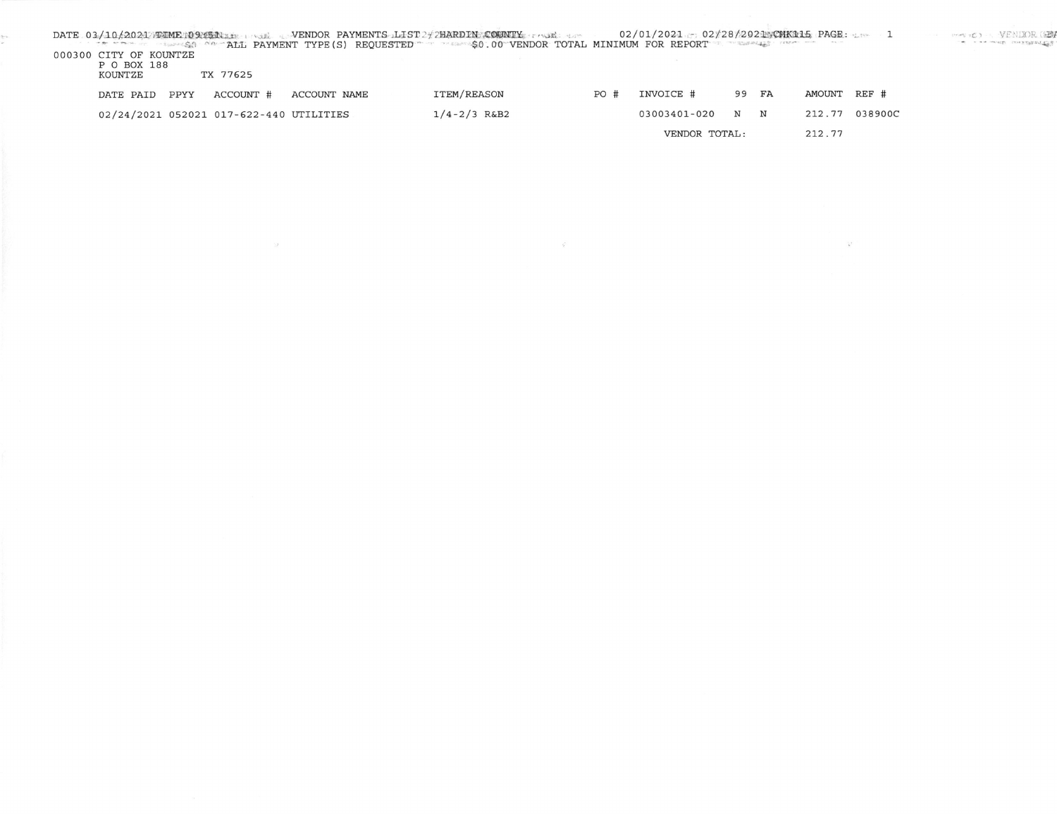| 000300 CITY OF KOUNTZE<br>P O BOX 188<br>KOUNTZE |      | TX 77625                                |              | DATE 03/10/2021 FIME TO PISTINE WE WANT WENDOR PAYMENTS LIST 2 THARD IN COUNTY TASK THAT<br>The Secretary of the ALL PAYMENT TYPE (S) REQUESTED The PERSON OF VENDOR TOTAL MINIMUM FOR REPORT TERMINES THE |     | $02/01/2021 = 02/28/2021$ $PAGR$ $PAGR$ : $1 = 1$ $PAGR$ $PAGR$ $PAGR$ $PAGR$ $PAGR$ $PAGR$ $PAGR$ $PAGR$ $PAGR$ $PAGR$ $PAGR$ $PAGR$ $PAGR$ $PAGR$ $PAGR$ $PAGR$ $PAGR$ $PAGR$ $PAGR$ $PAGR$ $PAGR$ $PAGR$ $PAGR$ $PAGR$ $PAGR$ $PAGR$ $PAGR$ $PAGR$ $PAGR$ $P$ |    |        |              |                | a car when maximums, |
|--------------------------------------------------|------|-----------------------------------------|--------------|------------------------------------------------------------------------------------------------------------------------------------------------------------------------------------------------------------|-----|------------------------------------------------------------------------------------------------------------------------------------------------------------------------------------------------------------------------------------------------------------------|----|--------|--------------|----------------|----------------------|
| DATE PAID                                        | PPYY | ACCOUNT #                               | ACCOUNT NAME | ITEM/REASON                                                                                                                                                                                                | PO# | INVOICE #                                                                                                                                                                                                                                                        | 99 | FA     | AMOUNT REF # |                |                      |
|                                                  |      | 02/24/2021 052021 017-622-440 UTILITIES |              | $1/4 - 2/3$ R&B2                                                                                                                                                                                           |     | 03003401-020                                                                                                                                                                                                                                                     | N  | N      |              | 212.77 038900C |                      |
|                                                  |      |                                         |              |                                                                                                                                                                                                            |     | VENDOR TOTAL:                                                                                                                                                                                                                                                    |    | 212.77 |              |                |                      |

 $\mathcal{G}$ 

 $\mathcal{L}^*$ 

 $\sim 10^6$ 

 $\frac{\partial}{\partial t} = \nabla \phi \ .$